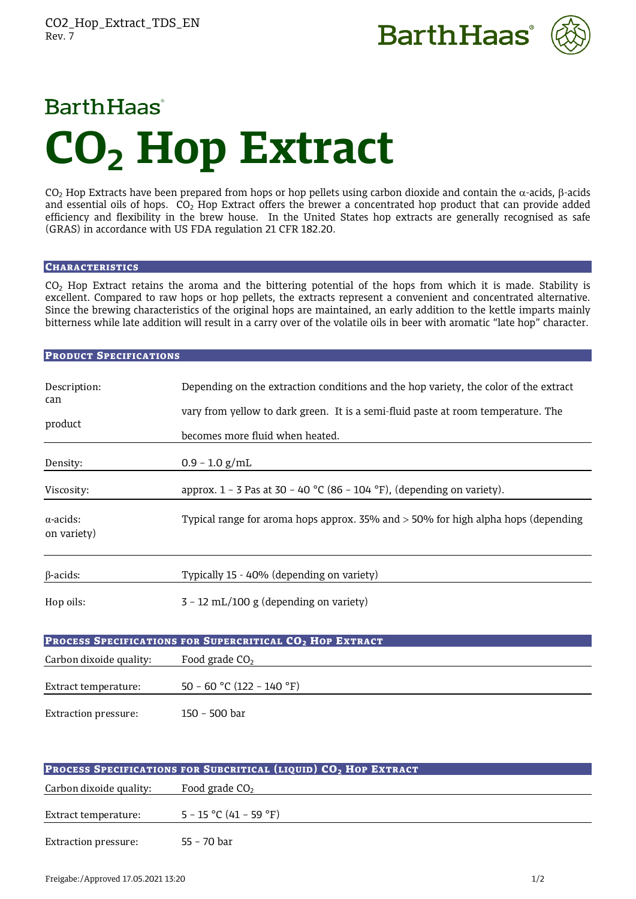



# **Barth Haas CO2 Hop Extract**

CO<sub>2</sub> Hop Extracts have been prepared from hops or hop pellets using carbon dioxide and contain the  $\alpha$ -acids,  $\beta$ -acids and essential oils of hops.  $CO<sub>2</sub>$  Hop Extract offers the brewer a concentrated hop product that can provide added efficiency and flexibility in the brew house. In the United States hop extracts are generally recognised as safe (GRAS) in accordance with US FDA regulation 21 CFR 182.20.

# **CHARACTERISTICS**

CO2 Hop Extract retains the aroma and the bittering potential of the hops from which it is made. Stability is excellent. Compared to raw hops or hop pellets, the extracts represent a convenient and concentrated alternative. Since the brewing characteristics of the original hops are maintained, an early addition to the kettle imparts mainly bitterness while late addition will result in a carry over of the volatile oils in beer with aromatic "late hop" character.

# PRODUCT SPECIFICATIONS

| Description:                                                         | Depending on the extraction conditions and the hop variety, the color of the extract |  |
|----------------------------------------------------------------------|--------------------------------------------------------------------------------------|--|
| can                                                                  | vary from yellow to dark green. It is a semi-fluid paste at room temperature. The    |  |
| product                                                              | becomes more fluid when heated.                                                      |  |
| Density:                                                             | $0.9 - 1.0$ g/mL                                                                     |  |
| Viscosity:                                                           | approx. $1 - 3$ Pas at 30 - 40 °C (86 - 104 °F), (depending on variety).             |  |
| $\alpha$ -acids:<br>on variety)                                      | Typical range for aroma hops approx. 35% and > 50% for high alpha hops (depending    |  |
| $\beta$ -acids:                                                      | Typically 15 - 40% (depending on variety)                                            |  |
| Hop oils:                                                            | $3 - 12$ mL/100 g (depending on variety)                                             |  |
| PROCESS SPECIFICATIONS FOR SUPERCRITICAL CO <sub>2</sub> HOP EXTRACT |                                                                                      |  |
| Carbon dixoide quality:                                              | Food grade $CO2$                                                                     |  |
| Extract temperature:                                                 | 50 - 60 °C (122 - 140 °F)                                                            |  |
| <b>Extraction pressure:</b>                                          | 150 - 500 bar                                                                        |  |

| <b>PROCESS SPECIFICATIONS FOR SUBCRITICAL (LIQUID) CO<sub>2</sub> HOP EXTRACT</b> |                          |  |
|-----------------------------------------------------------------------------------|--------------------------|--|
| Carbon dixoide quality:                                                           | Food grade $CO2$         |  |
| Extract temperature:                                                              | $5 - 15$ °C (41 – 59 °F) |  |
| <b>Extraction pressure:</b>                                                       | 55 - 70 bar              |  |